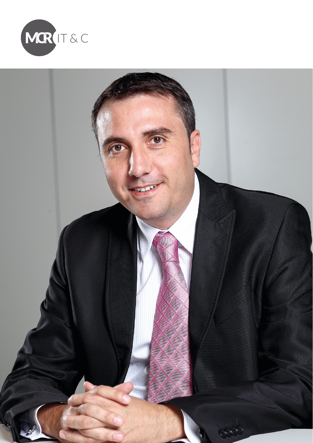

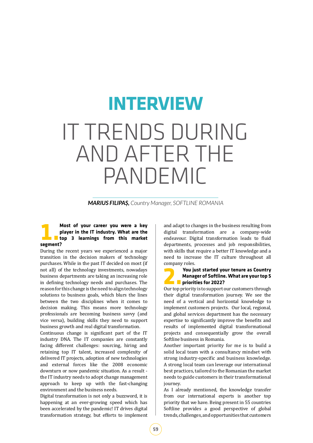# IT TRENDS DURING AND AFTER THE PANDEMIC **INTERVIEW**

*MARIUS FILIPAS, Country Manager, SOFTLINE ROMANIA*

#### **1.Most of your career you were a key player in the IT industry. What are the top 3 learnings from this market segment?**

During the recent years we experienced a major transition in the decision makers of technology purchases. While in the past IT decided on most (if not all) of the technology investments, nowadays business departments are taking an increasing role in defining technology needs and purchases. The reason for this change is the need to align technology solutions to business goals, which blurs the lines between the two disciplines when it comes to decision making. This means more technology professionals are becoming business savvy (and vice versa), building skills they need to support business growth and real digital transformation.

Continuous change is significant part of the IT industry DNA. The IT companies are constantly facing different challenges: sourcing, hiring and retaining top IT talent, increased complexity of delivered IT projects, adoption of new technologies and external forces like the 2008 economic downturn or now pandemic situation. As a result the IT industry needs to adopt change management approach to keep up with the fast-changing environment and the business needs.

Digital transformation is not only a buzzword, it is happening at an ever-growing speed which has been accelerated by the pandemic! IT drives digital transformation strategy, but efforts to implement and adapt to changes in the business resulting from digital transformation are a company-wide endeavour. Digital transformation leads to fluid departments, processes and job responsibilities, with skills that require a better IT knowledge and a need to increase the IT culture throughout all company roles.

#### **2.You just started your tenure as Country Manager of Softline. What are your top 5 priorities for 2022?**

Our top priority is to support our customers through their digital transformation journey. We see the need of a vertical and horizontal knowledge to implement customers projects. Our local, regional, and global services department has the necessary expertise to significantly improve the benefits and results of implemented digital transformational projects and consequentially grow the overall Softline business in Romania.

Another important priority for me is to build a solid local team with a consultancy mindset with strong industry-specific and business knowledge. A strong local team can leverage our international best practices, tailored to the Romanian the market needs to guide customers in their transformational journey.

As I already mentioned, the knowledge transfer from our international experts is another top priority that we have. Being present in 55 countries Softline provides a good perspective of global trends, challenges, and opportunities that customers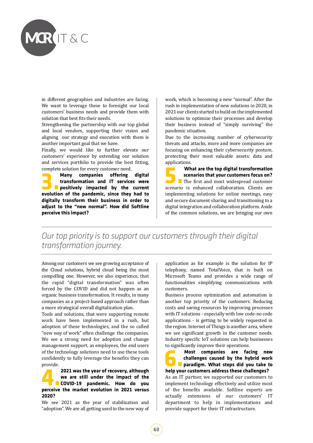

in different geographies and industries are facing. We want to leverage these to foresight our local customers' business needs and provide them with solution that best fits their needs.

Strengthening the partnership with our top global and local vendors, supporting their vision and aligning our strategy and execution with them is another important goal that we have.

Finally, we would like to further elevate our customers' experience by extending our solution and services portfolio to provide the best fitting,

complete solution for every customer need.<br> **Companies offering 3. Many companies offering digital transformation and IT services were<br>positively impacted by the current evolution of the nandemic since they had to transformation and IT services were positively impacted by the current evolution of the pandemic, since they had to digitally transform their business in order to adjust to the "new normal". How did Softline perceive this impact?**

work, which is becoming a new "normal". After the rush in implementation of new solutions in 2020, in 2021 our clients started to build on the implemented solutions to optimize their processes and develop their business instead of "simply surviving" the pandemic situation.

Due to the increasing number of cybersecurity threats and attacks, more and more companies are focusing on enhancing their cybersecurity posture, protecting their most valuable assets: data and applications.<br>**What are the top digital transformation** 

**5.What are the top digital transformation scenarios that your customers focus on?** The first and most widespread customer scenario is enhanced collaboration. Clients are implementing solutions for online meetings, easy and secure document sharing and transitioning to a digital integration and collaboration platform. Aside of the common solutions, we are bringing our own

*Our top priority is to support our customers through their digital transformation journey.*

Among our customers we see growing acceptance of the Cloud solutions, hybrid cloud being the most compelling one. However, we also experience, that the rapid "digital transformation" was often forced by the COVID and did not happen as an organic business transformation. It results, in many companies as a project-based approach rather than a more strategical overall digitalization plan.

Tools and solutions, that were supporting remote work have been implemented in a rush, but adoption of these technologies, and the so called "new way of work" often challenge the companies. We see a strong need for adoption and change management support, as employees, the end users of the technology solutions need to use these tools confidently to fully leverage the benefits they can provide.

**4.2021 was the year of recovery, although we are still under the impact of the COVID-19 pandemic. How do you perceive the market evolution in 2021 versus 2020?**

We see 2021 as the year of stabilization and "adoption". We are all getting used to the new way of application as for example is the solution for IP telephony, named TotalVoice, that is built on Microsoft Teams and provides a wide range of functionalities simplifying communications with customers.

Business process optimization and automation is another top priority of the customers. Reducing costs and saving resources by improving processes with IT solutions - especially with low code-no code applications - is getting to be widely requested in the region. Internet of Things is another area, where we see significant growth in the customer needs. Industry specific IoT solutions can help businesses to significantly improve their operations.<br>**Most companies are facing new** 

**6. Most companies are facing new challenges caused by the hybrid work<br>paradigm. What steps did you take to<br>help your customers address these challenges? challenges caused by the hybrid work paradigm. What steps did you take to help your customers address these challenges?** As an IT partner, we supported our customers to implement technology effectively and utilize most of the benefits available. Softline experts are actually extensions of our customers' IT department to help in implementations and provide support for their IT infrastructure.